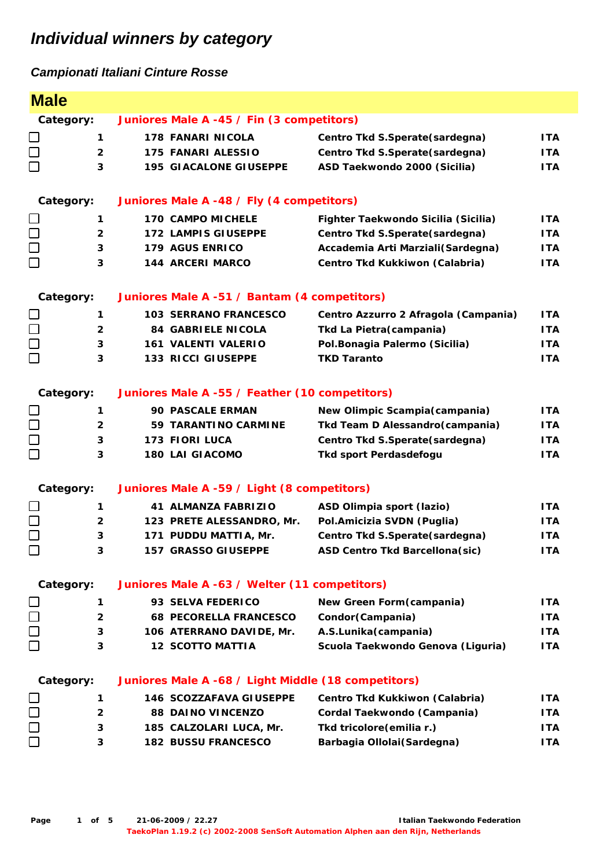| <b>Male</b>                                       |                |                                                     |                                       |            |  |
|---------------------------------------------------|----------------|-----------------------------------------------------|---------------------------------------|------------|--|
|                                                   | Category:      | Juniores Male A -45 / Fin (3 competitors)           |                                       |            |  |
| $\Box$                                            | $\mathbf{1}$   | <b>178 FANARI NICOLA</b>                            | Centro Tkd S.Sperate (sardegna)       | <b>ITA</b> |  |
| $\Box$                                            | $\overline{2}$ | <b>175 FANARI ALESSIO</b>                           | Centro Tkd S.Sperate(sardegna)        | <b>ITA</b> |  |
| $\Box$                                            | 3              | <b>195 GIACALONE GIUSEPPE</b>                       | ASD Taekwondo 2000 (Sicilia)          | <b>ITA</b> |  |
|                                                   |                |                                                     |                                       |            |  |
|                                                   | Category:      | Juniores Male A -48 / Fly (4 competitors)           |                                       |            |  |
|                                                   | 1              | <b>170 CAMPO MICHELE</b>                            | Fighter Taekwondo Sicilia (Sicilia)   | <b>ITA</b> |  |
| $\Box$                                            | $\overline{2}$ | 172 LAMPIS GIUSEPPE                                 | Centro Tkd S.Sperate(sardegna)        | ITA        |  |
|                                                   | 3              | 179 AGUS ENRICO                                     | Accademia Arti Marziali (Sardegna)    | <b>ITA</b> |  |
| $\Box$                                            | 3              | 144 ARCERI MARCO                                    | Centro Tkd Kukkiwon (Calabria)        | <b>ITA</b> |  |
|                                                   | Category:      | Juniores Male A -51 / Bantam (4 competitors)        |                                       |            |  |
|                                                   | 1              | <b>103 SERRANO FRANCESCO</b>                        | Centro Azzurro 2 Afragola (Campania)  | <b>ITA</b> |  |
| $\Box$                                            | $\mathbf{2}$   | <b>84 GABRIELE NICOLA</b>                           | Tkd La Pietra (campania)              | <b>ITA</b> |  |
|                                                   | 3              | <b>161 VALENTI VALERIO</b>                          | Pol.Bonagia Palermo (Sicilia)         | <b>ITA</b> |  |
| $\begin{array}{c} \square \\ \square \end{array}$ | 3              | <b>133 RICCI GIUSEPPE</b>                           | <b>TKD Taranto</b>                    | <b>ITA</b> |  |
|                                                   |                |                                                     |                                       |            |  |
|                                                   | Category:      | Juniores Male A -55 / Feather (10 competitors)      |                                       |            |  |
| $\Box$                                            | 1              | <b>90 PASCALE ERMAN</b>                             | New Olimpic Scampia (campania)        | ITA.       |  |
| $\square$                                         | $\overline{2}$ | 59 TARANTINO CARMINE                                | Tkd Team D Alessandro(campania)       | <b>ITA</b> |  |
|                                                   | 3              | <b>173 FIORI LUCA</b>                               | Centro Tkd S.Sperate(sardegna)        | <b>ITA</b> |  |
| $\Box$                                            | 3              | <b>180 LAI GIACOMO</b>                              | Tkd sport Perdasdefogu                | <b>ITA</b> |  |
|                                                   | Category:      | Juniores Male A -59 / Light (8 competitors)         |                                       |            |  |
|                                                   | 1              | <b>41 ALMANZA FABRIZIO</b>                          | ASD Olimpia sport (lazio)             | ITA.       |  |
| $\Box$                                            | 2              | 123 PRETE ALESSANDRO, Mr.                           | Pol.Amicizia SVDN (Puglia)            | ITA        |  |
| $\Box$                                            | 3              | 171 PUDDU MATTIA, Mr.                               | Centro Tkd S.Sperate(sardegna)        | <b>ITA</b> |  |
| $\Box$                                            | 3              | 157 GRASSO GIUSEPPE                                 | <b>ASD Centro Tkd Barcellona(sic)</b> | <b>ITA</b> |  |
|                                                   | Category:      | Juniores Male A -63 / Welter (11 competitors)       |                                       |            |  |
|                                                   | 1              | 93 SELVA FEDERICO                                   | New Green Form (campania)             | <b>ITA</b> |  |
|                                                   | $\overline{2}$ | <b>68 PECORELLA FRANCESCO</b>                       | Condor(Campania)                      | ITA        |  |
| $\Box$                                            | 3              | 106 ATERRANO DAVIDE, Mr.                            | A.S.Lunika (campania)                 | <b>ITA</b> |  |
| П                                                 | 3              | <b>12 SCOTTO MATTIA</b>                             | Scuola Taekwondo Genova (Liguria)     | <b>ITA</b> |  |
|                                                   | Category:      | Juniores Male A -68 / Light Middle (18 competitors) |                                       |            |  |
|                                                   |                | <b>146 SCOZZAFAVA GIUSEPPE</b>                      | Centro Tkd Kukkiwon (Calabria)        | <b>ITA</b> |  |
|                                                   | 1              |                                                     |                                       |            |  |
| 0<br>0<br>0                                       | $\mathbf{2}$   | <b>88 DAINO VINCENZO</b>                            | Cordal Taekwondo (Campania)           | <b>ITA</b> |  |
|                                                   | 3              | 185 CALZOLARI LUCA, Mr.                             | Tkd tricolore (emilia r.)             | <b>ITA</b> |  |
|                                                   | 3              | <b>182 BUSSU FRANCESCO</b>                          | Barbagia Ollolai (Sardegna)           | <b>ITA</b> |  |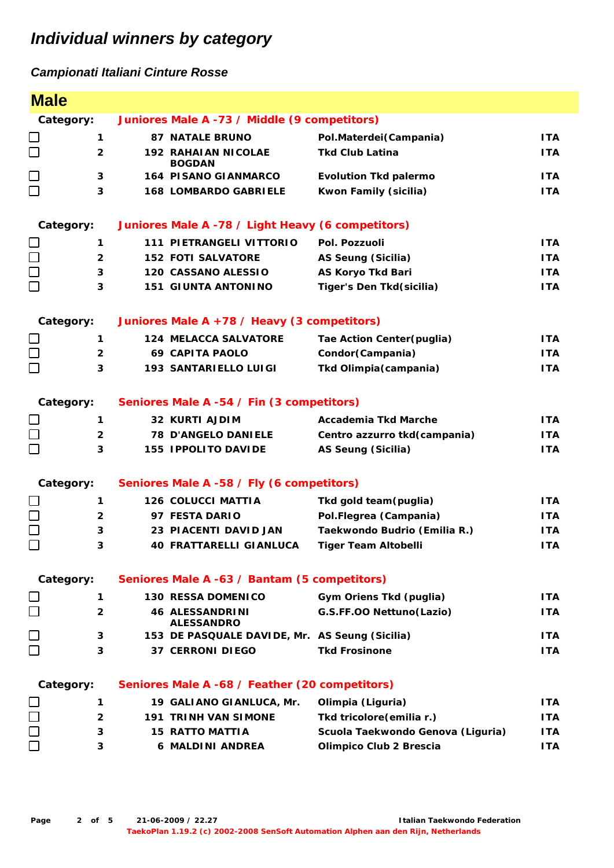| <b>Male</b>                                       |                                                          |                                                   |                                   |            |
|---------------------------------------------------|----------------------------------------------------------|---------------------------------------------------|-----------------------------------|------------|
| Category:                                         |                                                          | Juniores Male A -73 / Middle (9 competitors)      |                                   |            |
|                                                   | 1                                                        | <b>87 NATALE BRUNO</b>                            | Pol.Materdei(Campania)            | <b>ITA</b> |
| $\Box$                                            | $\overline{2}$                                           | <b>192 RAHAIAN NICOLAE</b><br><b>BOGDAN</b>       | <b>Tkd Club Latina</b>            | <b>ITA</b> |
| $\Box$                                            | $\mathbf{3}$                                             | <b>164 PISANO GIANMARCO</b>                       | <b>Evolution Tkd palermo</b>      | <b>ITA</b> |
| $\Box$                                            | 3                                                        | <b>168 LOMBARDO GABRIELE</b>                      | Kwon Family (sicilia)             | <b>ITA</b> |
| Category:                                         |                                                          | Juniores Male A -78 / Light Heavy (6 competitors) |                                   |            |
|                                                   | 1                                                        | <b>111 PIETRANGELI VITTORIO</b>                   | Pol. Pozzuoli                     | <b>ITA</b> |
| $\Box$                                            | $\mathbf{2}$                                             | <b>152 FOTI SALVATORE</b>                         | AS Seung (Sicilia)                | <b>ITA</b> |
| $\Box$                                            | 3                                                        | 120 CASSANO ALESSIO                               | <b>AS Koryo Tkd Bari</b>          | <b>ITA</b> |
|                                                   | 3                                                        | <b>151 GIUNTA ANTONINO</b>                        | Tiger's Den Tkd(sicilia)          | <b>ITA</b> |
|                                                   | Category:<br>Juniores Male A +78 / Heavy (3 competitors) |                                                   |                                   |            |
|                                                   | $\mathbf 1$                                              | <b>124 MELACCA SALVATORE</b>                      | Tae Action Center (puglia)        | <b>ITA</b> |
| $\begin{array}{c} \square \\ \square \end{array}$ | $\overline{2}$                                           | <b>69 CAPITA PAOLO</b>                            | Condor (Campania)                 | ITA.       |
|                                                   | 3                                                        | <b>193 SANTARIELLO LUIGI</b>                      | Tkd Olimpia (campania)            | <b>ITA</b> |
| Category:                                         |                                                          | Seniores Male A -54 / Fin (3 competitors)         |                                   |            |
|                                                   | $\mathbf{1}$                                             | <b>32 KURTI AJDIM</b>                             | <b>Accademia Tkd Marche</b>       | ITA.       |
|                                                   | $\overline{2}$                                           | <b>78 D'ANGELO DANIELE</b>                        | Centro azzurro tkd(campania)      | <b>ITA</b> |
| $\Box$                                            | 3                                                        | <b>155 IPPOLITO DAVIDE</b>                        | AS Seung (Sicilia)                | <b>ITA</b> |
| Category:                                         |                                                          | Seniores Male A -58 / Fly (6 competitors)         |                                   |            |
|                                                   | 1                                                        | <b>126 COLUCCI MATTIA</b>                         | Tkd gold team(puglia)             | <b>ITA</b> |
| $\Box$                                            | $\overline{2}$                                           | 97 FESTA DARIO                                    | Pol.Flegrea (Campania)            | <b>ITA</b> |
| $\Box$                                            | 3                                                        | 23 PIACENTI DAVID JAN                             | Taekwondo Budrio (Emilia R.)      | <b>ITA</b> |
| $\Box$                                            | 3                                                        | <b>40 FRATTARELLI GIANLUCA</b>                    | <b>Tiger Team Altobelli</b>       | <b>ITA</b> |
| Category:                                         |                                                          | Seniores Male A -63 / Bantam (5 competitors)      |                                   |            |
|                                                   | $\mathbf{1}$                                             | <b>130 RESSA DOMENICO</b>                         | Gym Oriens Tkd (puglia)           | ITA.       |
| $\Box$                                            | $\mathbf{2}$                                             | <b>46 ALESSANDRINI</b><br><b>ALESSANDRO</b>       | G.S.FF.OO Nettuno(Lazio)          | ITA.       |
| $\Box$                                            | 3                                                        | 153 DE PASQUALE DAVIDE, Mr. AS Seung (Sicilia)    |                                   | ITA.       |
| П                                                 | 3                                                        | <b>37 CERRONI DIEGO</b>                           | <b>Tkd Frosinone</b>              | ITA.       |
| Category:                                         |                                                          | Seniores Male A -68 / Feather (20 competitors)    |                                   |            |
|                                                   | $\mathbf 1$                                              | 19 GALIANO GIANLUCA, Mr.                          | Olimpia (Liguria)                 | ITA.       |
| $\begin{array}{c}\n\Box \\ \Box\n\end{array}$     | $\mathbf{2}$                                             | <b>191 TRINH VAN SIMONE</b>                       | Tkd tricolore (emilia r.)         | ITA.       |
|                                                   | 3                                                        | <b>15 RATTO MATTIA</b>                            | Scuola Taekwondo Genova (Liguria) | <b>ITA</b> |
|                                                   | 3                                                        | <b>6 MALDINI ANDREA</b>                           | Olimpico Club 2 Brescia           | <b>ITA</b> |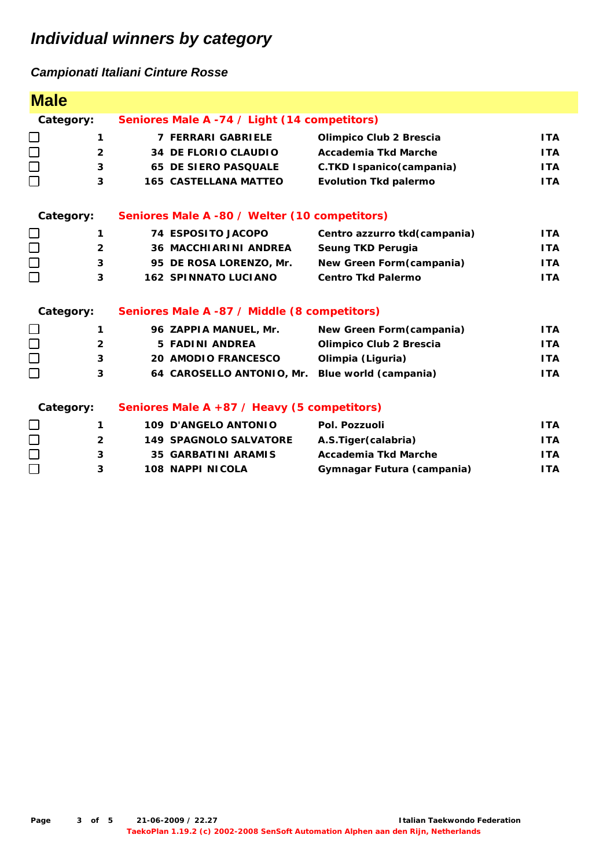| <b>Male</b> |                |                                               |                              |            |  |
|-------------|----------------|-----------------------------------------------|------------------------------|------------|--|
| Category:   |                | Seniores Male A -74 / Light (14 competitors)  |                              |            |  |
| $\Box$      | $\mathbf{1}$   | <b>7 FERRARI GABRIELE</b>                     | Olimpico Club 2 Brescia      | <b>ITA</b> |  |
| $\Box$      | $\overline{2}$ | <b>34 DE FLORIO CLAUDIO</b>                   | Accademia Tkd Marche         | <b>ITA</b> |  |
| $\Box$      | 3              | <b>65 DE SIERO PASQUALE</b>                   | C.TKD Ispanico(campania)     | <b>ITA</b> |  |
| $\Box$      | 3              | <b>165 CASTELLANA MATTEO</b>                  | <b>Evolution Tkd palermo</b> | <b>ITA</b> |  |
| Category:   |                | Seniores Male A -80 / Welter (10 competitors) |                              |            |  |
|             | $\mathbf{1}$   | <b>74 ESPOSITO JACOPO</b>                     | Centro azzurro tkd(campania) | <b>ITA</b> |  |
| $\square$   | $\overline{2}$ | <b>36 MACCHIARINI ANDREA</b>                  | Seung TKD Perugia            | <b>ITA</b> |  |
| $\Box$      | 3              | 95 DE ROSA LORENZO, Mr.                       | New Green Form (campania)    | <b>ITA</b> |  |
| $\Box$      | 3              | <b>162 SPINNATO LUCIANO</b>                   | <b>Centro Tkd Palermo</b>    | <b>ITA</b> |  |
| Category:   |                | Seniores Male A -87 / Middle (8 competitors)  |                              |            |  |
|             | $\mathbf{1}$   | 96 ZAPPIA MANUEL, Mr.                         | New Green Form (campania)    | <b>ITA</b> |  |
| $\Box$      | $\overline{2}$ | <b>5 FADINI ANDREA</b>                        | Olimpico Club 2 Brescia      | <b>ITA</b> |  |
|             | 3              | <b>20 AMODIO FRANCESCO</b>                    | Olimpia (Liguria)            | <b>ITA</b> |  |
| $\Box$      | 3              | 64 CAROSELLO ANTONIO, Mr.                     | Blue world (campania)        | <b>ITA</b> |  |
| Category:   |                | Seniores Male A +87 / Heavy (5 competitors)   |                              |            |  |
|             | 1              | <b>109 D'ANGELO ANTONIO</b>                   | Pol. Pozzuoli                | <b>ITA</b> |  |
| $\Box$      | $\overline{2}$ | <b>149 SPAGNOLO SALVATORE</b>                 | A.S.Tiger (calabria)         | <b>ITA</b> |  |
| $\Box$      | 3              | <b>35 GARBATINI ARAMIS</b>                    | Accademia Tkd Marche         | <b>ITA</b> |  |
| $\Box$      | 3              | <b>108 NAPPI NICOLA</b>                       | Gymnagar Futura (campania)   | <b>ITA</b> |  |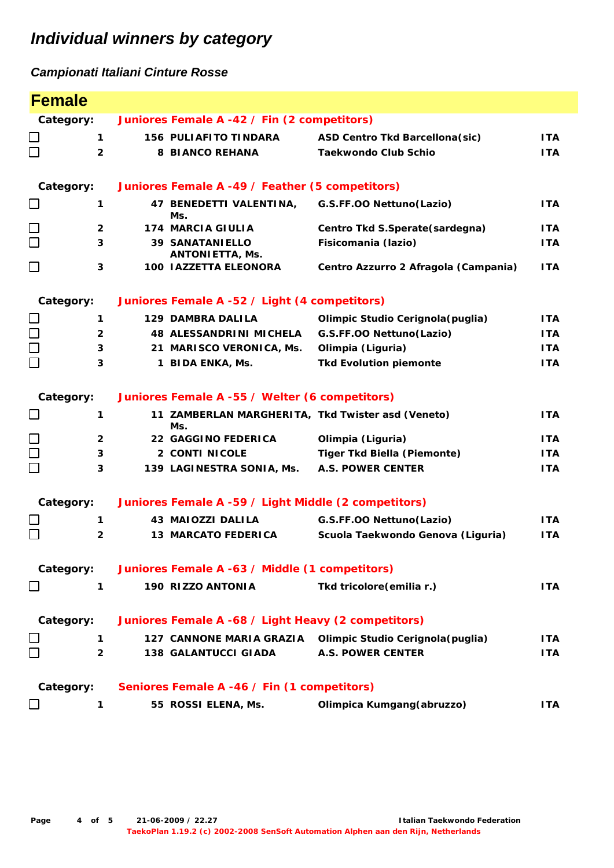| <b>Female</b>                                     |                |                                                      |                                                            |            |
|---------------------------------------------------|----------------|------------------------------------------------------|------------------------------------------------------------|------------|
| Category:                                         |                | Juniores Female A -42 / Fin (2 competitors)          |                                                            |            |
|                                                   | 1              | <b>156 PULIAFITO TINDARA</b>                         | <b>ASD Centro Tkd Barcellona(sic)</b>                      | <b>ITA</b> |
| $\Box$                                            | $\overline{2}$ | <b>8 BIANCO REHANA</b>                               | <b>Taekwondo Club Schio</b>                                | <b>ITA</b> |
| Category:                                         |                | Juniores Female A -49 / Feather (5 competitors)      |                                                            |            |
| $\Box$                                            | 1              | 47 BENEDETTI VALENTINA,<br>Ms.                       | G.S.FF.OO Nettuno(Lazio)                                   | <b>ITA</b> |
| $\Box$                                            | $\overline{2}$ | <b>174 MARCIA GIULIA</b>                             | Centro Tkd S.Sperate(sardegna)                             | <b>ITA</b> |
| $\Box$                                            | 3              | <b>39 SANATANIELLO</b><br><b>ANTONIETTA, Ms.</b>     | Fisicomania (lazio)                                        | <b>ITA</b> |
| $\Box$                                            | $\mathbf{3}$   | 100 IAZZETTA ELEONORA                                | Centro Azzurro 2 Afragola (Campania)                       | <b>ITA</b> |
| Category:                                         |                | Juniores Female A -52 / Light (4 competitors)        |                                                            |            |
|                                                   | 1              | <b>129 DAMBRA DALILA</b>                             | Olimpic Studio Cerignola (puglia)                          | ITA.       |
| $\begin{array}{c} \square \\ \square \end{array}$ | $\overline{2}$ | <b>48 ALESSANDRINI MICHELA</b>                       | G.S.FF.OO Nettuno(Lazio)                                   | ITA.       |
|                                                   | 3              | 21 MARISCO VERONICA, Ms.                             | Olimpia (Liguria)                                          | ITA.       |
|                                                   | 3              | 1 BIDA ENKA, Ms.                                     | <b>Tkd Evolution piemonte</b>                              | <b>ITA</b> |
| Category:                                         |                | Juniores Female A -55 / Welter (6 competitors)       |                                                            |            |
| $\Box$                                            | 1              | Ms.                                                  | 11 ZAMBERLAN MARGHERITA, Tkd Twister asd (Veneto)          | ITA.       |
| $\begin{array}{c} \square \\ \square \end{array}$ | $\overline{2}$ | <b>22 GAGGINO FEDERICA</b>                           | Olimpia (Liguria)                                          | <b>ITA</b> |
|                                                   | 3              | <b>2 CONTI NICOLE</b>                                | <b>Tiger Tkd Biella (Piemonte)</b>                         | ITA.       |
|                                                   | 3              | 139 LAGINESTRA SONIA, Ms.                            | <b>A.S. POWER CENTER</b>                                   | <b>ITA</b> |
| Category:                                         |                | Juniores Female A -59 / Light Middle (2 competitors) |                                                            |            |
|                                                   | $\mathbf{1}$   | <b>43 MAIOZZI DALILA</b>                             | G.S.FF.OO Nettuno(Lazio)                                   | <b>ITA</b> |
| П                                                 | $\mathbf{2}$   | <b>13 MARCATO FEDERICA</b>                           | Scuola Taekwondo Genova (Liguria)                          | <b>ITA</b> |
| Category:                                         |                | Juniores Female A -63 / Middle (1 competitors)       |                                                            |            |
| $\Box$                                            | 1              | 190 RIZZO ANTONIA                                    | Tkd tricolore (emilia r.)                                  | <b>ITA</b> |
| Category:                                         |                | Juniores Female A -68 / Light Heavy (2 competitors)  |                                                            |            |
|                                                   | 1              |                                                      | 127 CANNONE MARIA GRAZIA Olimpic Studio Cerignola (puglia) | <b>ITA</b> |
|                                                   | $\overline{2}$ | <b>138 GALANTUCCI GIADA</b>                          | <b>A.S. POWER CENTER</b>                                   | <b>ITA</b> |
| Category:                                         |                | Seniores Female A -46 / Fin (1 competitors)          |                                                            |            |
|                                                   | 1              | 55 ROSSI ELENA, Ms.                                  | Olimpica Kumgang (abruzzo)                                 | <b>ITA</b> |